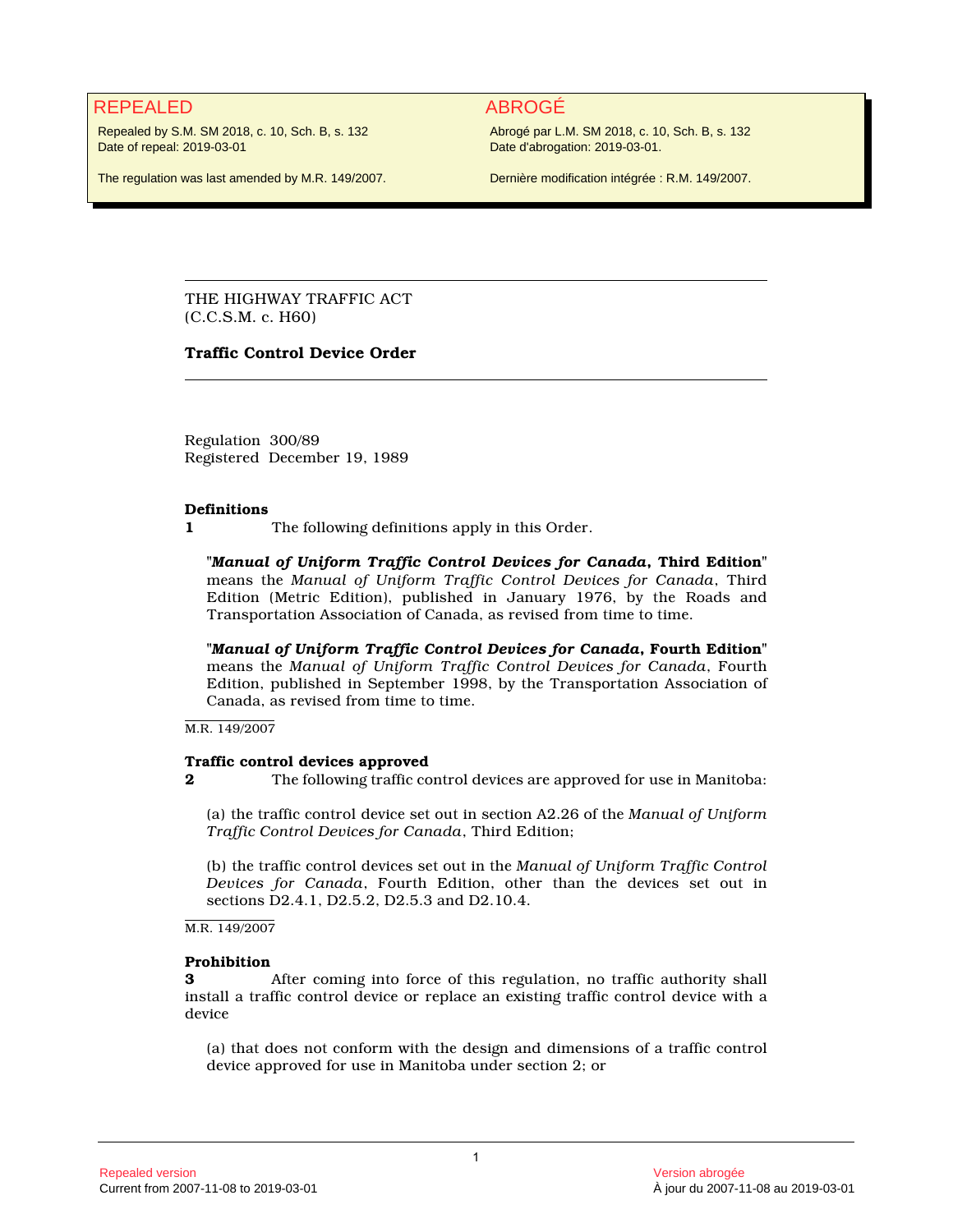# REPEALED ABROGÉ

Repealed by S.M. SM 2018, c. 10, Sch. B, s. 132 Date of repeal: 2019-03-01

Abrogé par L.M. SM 2018, c. 10, Sch. B, s. 132 Date d'abrogation: 2019-03-01.

The regulation was last amended by M.R. 149/2007.

Dernière modification intégrée : R.M. 149/2007.

THE HIGHWAY TRAFFIC ACT (C.C.S.M. c. H60)

## **Traffic Control Device Order**

Regulation 300/89 Registered December 19, 1989

### **Definitions**

**1** The following definitions apply in this Order.

**"***Manual of Uniform Traffic Control Devices for Canada***, Third Edition"** means the *Manual of Uniform Traffic Control Devices for Canada*, Third Edition (Metric Edition), published in January 1976, by the Roads and Transportation Association of Canada, as revised from time to time.

**"***Manual of Uniform Traffic Control Devices for Canada***, Fourth Edition"** means the *Manual of Uniform Traffic Control Devices for Canada*, Fourth Edition, published in September 1998, by the Transportation Association of Canada, as revised from time to time.

M.R. 149/2007

### **Traffic control devices approved**

**2** The following traffic control devices are approved for use in Manitoba:

(a) the traffic control device set out in section A2.26 of the *Manual of Uniform Traffic Control Devices for Canada*, Third Edition;

(b) the traffic control devices set out in the *Manual of Uniform Traffic Control Devices for Canada*, Fourth Edition, other than the devices set out in sections D2.4.1, D2.5.2, D2.5.3 and D2.10.4.

M.R. 149/2007

### **Prohibition**

**3** After coming into force of this regulation, no traffic authority shall install a traffic control device or replace an existing traffic control device with a device

(a) that does not conform with the design and dimensions of a traffic control device approved for use in Manitoba under section 2; or